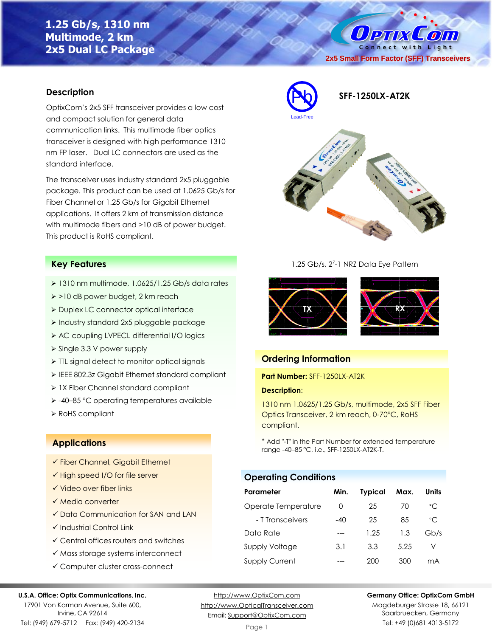# **1.25 Gb/s, 1310 nm Multimode, 2 km 2x5 Dual LC Package**

Connect with Light **2x5 Small Form Factor (SFF) Transceivers**

 $\mathcal{L}$  on

 $0$  PTIX

### **Description**

OptixCom's 2x5 SFF transceiver provides a low cost and compact solution for general data communication links. This multimode fiber optics transceiver is designed with high performance 1310 nm FP laser. Dual LC connectors are used as the standard interface.

The transceiver uses industry standard 2x5 pluggable package. This product can be used at 1.0625 Gb/s for Fiber Channel or 1.25 Gb/s for Gigabit Ethernet applications. It offers 2 km of transmission distance with multimode fibers and >10 dB of power budget. This product is RoHS compliant.

### **Key Features**

- ➢ 1310 nm multimode, 1.0625/1.25 Gb/s data rates
- ➢ >10 dB power budget, 2 km reach
- ➢ Duplex LC connector optical interface
- ➢ Industry standard 2x5 pluggable package
- ➢ AC coupling LVPECL differential I/O logics
- ➢ Single 3.3 V power supply
- ➢ TTL signal detect to monitor optical signals
- ➢ IEEE 802.3z Gigabit Ethernet standard compliant
- ➢ 1X Fiber Channel standard compliant
- ➢ -40–85 °C operating temperatures available
- ➢ RoHS compliant

## **Applications**

- ✓ Fiber Channel, Gigabit Ethernet
- ✓ High speed I/O for file server
- ✓ Video over fiber links
- ✓ Media converter
- ✓ Data Communication for SAN and LAN
- ✓ Industrial Control Link
- ✓ Central offices routers and switches
- ✓ Mass storage systems interconnect
- ✓ Computer cluster cross-connect

#### **U.S.A. Office: Optix Communications, Inc.**

17901 Von Karman Avenue, Suite 600, Irvine, CA 92614 Tel: (949) 679-5712 Fax: (949) 420-2134

[http://www.OptixCom.com](http://www.optixcom.com/) [http://www.OpticalTransceiver.com](http://www.optoictech.com/) Email: [Support@OptixCom.com](mailto:Support@optoICtech.com)



1.25 Gb/s, 2<sup>7</sup>-1 NRZ Data Eye Pattern



### **Ordering Information**

**Part Number:** SFF-1250LX-AT2K

#### **Description**:

1310 nm 1.0625/1.25 Gb/s, multimode, 2x5 SFF Fiber Optics Transceiver, 2 km reach, 0-70°C, RoHS compliant.

\* Add "-T" in the Part Number for extended temperature range -40–85 °C, i.e., SFF-1250LX-AT2K-T.

## **Operating Conditions**

| Parameter             | Min.             | <b>Typical</b> | Max. | Units        |
|-----------------------|------------------|----------------|------|--------------|
| Operate Temperature   | $\left( \right)$ | 25             | 70   | $^{\circ}$ C |
| - T Transceivers      | $-40$            | 25             | 85   | $^{\circ}$ C |
| Data Rate             |                  | 1.25           | 1.3  | Gb/s         |
| <b>Supply Voltage</b> | 3.1              | 3.3            | 5.25 | V            |
| <b>Supply Current</b> |                  | 200            | 300  | mA           |

**Germany Office: OptixCom GmbH**

Magdeburger Strasse 18, 66121 Saarbruecken, Germany Tel: +49 (0)681 4013-5172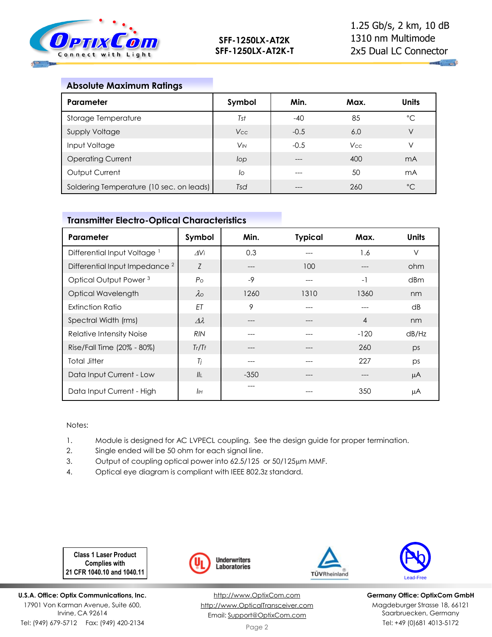

## **Absolute Maximum Ratings**

| Parameter                                | Symbol                | Min.   | Max.       | <b>Units</b>   |
|------------------------------------------|-----------------------|--------|------------|----------------|
| Storage Temperature                      | Tst                   | $-40$  | 85         | $^{\circ}$ C   |
| <b>Supply Voltage</b>                    | Vcc                   | $-0.5$ | 6.0        | V              |
| Input Voltage                            | <b>V<sub>IN</sub></b> | $-0.5$ | <b>Vcc</b> | V              |
| <b>Operating Current</b>                 | lop                   |        | 400        | m <sub>A</sub> |
| Output Current                           | lo                    | ---    | 50         | mA             |
| Soldering Temperature (10 sec. on leads) | Tsd                   | ---    | 260        | $^{\circ}C$    |

## **Transmitter Electro-Optical Characteristics**

| Parameter                                 | Symbol           | Min.   | <b>Typical</b> | Max.           | <b>Units</b> |
|-------------------------------------------|------------------|--------|----------------|----------------|--------------|
| Differential Input Voltage <sup>1</sup>   | $\Delta V_i$     | 0.3    |                | 1.6            | $\vee$       |
| Differential Input Impedance <sup>2</sup> | Z                | ---    | 100            |                | ohm          |
| Optical Output Power <sup>3</sup>         | P <sub>O</sub>   | $-9$   |                | $-1$           | dBm          |
| Optical Wavelength                        | $\lambda$ o      | 1260   | 1310           | 1360           | nm           |
| <b>Extinction Ratio</b>                   | ET               | 9      |                |                | dB           |
| Spectral Width (rms)                      | $\Delta \lambda$ | ---    |                | $\overline{4}$ | nm           |
| Relative Intensity Noise                  | <b>RIN</b>       | ---    |                | $-120$         | dB/Hz        |
| Rise/Fall Time (20% - 80%)                | Tr/Tr            | ---    | $---$          | 260            | ps           |
| <b>Total Jitter</b>                       | Tj               | ---    | $---$          | 227            | ps           |
| Data Input Current - Low                  | II <sub>I</sub>  | $-350$ | $---$          | $---$          | μA           |
| Data Input Current - High                 | IІн              |        |                | 350            | μA           |

### Notes:

- 1. Module is designed for AC LVPECL coupling. See the design guide for proper termination.
- 2. Single ended will be 50 ohm for each signal line.
- 3. Output of coupling optical power into 62.5/125 or 50/125µm MMF.
- 4. Optical eye diagram is compliant with IEEE 802.3z standard.

**Class 1 Laser Product Complies with 21 CFR 1040.10 and 1040.11**

**U.S.A. Office: Optix Communications, Inc.** 17901 Von Karman Avenue, Suite 600, Irvine, CA 92614 Tel: (949) 679-5712 Fax: (949) 420-2134









**Germany Office: OptixCom GmbH** Magdeburger Strasse 18, 66121 Saarbruecken, Germany Tel: +49 (0)681 4013-5172